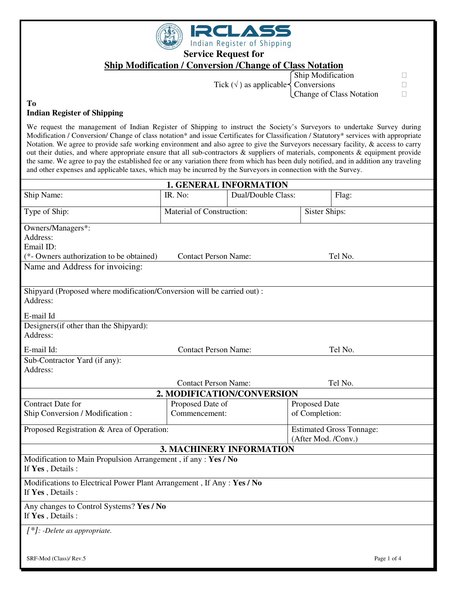

**Service Request for** 

# **Ship Modification / Conversion /Change of Class Notation**

Tick ( $\sqrt{}$ ) as applicable  $\left\{\n \begin{array}{l}\n \text{Conversions} \\
\text{Change of Class Notation}\n \end{array}\n\right\}$ 

Ship Modification

Change of Class Notation

#### **To Indian Register of Shipping**

٦

We request the management of Indian Register of Shipping to instruct the Society's Surveyors to undertake Survey during Modification / Conversion/ Change of class notation\* and issue Certificates for Classification / Statutory\* services with appropriate Notation. We agree to provide safe working environment and also agree to give the Surveyors necessary facility, & access to carry out their duties, and where appropriate ensure that all sub-contractors & suppliers of materials, components & equipment provide the same. We agree to pay the established fee or any variation there from which has been duly notified, and in addition any traveling and other expenses and applicable taxes, which may be incurred by the Surveyors in connection with the Survey.

|                                                                                           | <b>1. GENERAL INFORMATION</b>   |                            |                                 |             |  |
|-------------------------------------------------------------------------------------------|---------------------------------|----------------------------|---------------------------------|-------------|--|
| Ship Name:                                                                                | IR. No:                         | Dual/Double Class:         |                                 | Flag:       |  |
| Type of Ship:                                                                             | Material of Construction:       |                            | <b>Sister Ships:</b>            |             |  |
| Owners/Managers*:                                                                         |                                 |                            |                                 |             |  |
| Address:                                                                                  |                                 |                            |                                 |             |  |
| Email ID:                                                                                 |                                 |                            |                                 |             |  |
| <b>Contact Person Name:</b><br>(*- Owners authorization to be obtained)                   |                                 |                            |                                 | Tel No.     |  |
| Name and Address for invoicing:                                                           |                                 |                            |                                 |             |  |
| Shipyard (Proposed where modification/Conversion will be carried out):                    |                                 |                            |                                 |             |  |
| Address:                                                                                  |                                 |                            |                                 |             |  |
| E-mail Id                                                                                 |                                 |                            |                                 |             |  |
| Designers (if other than the Shipyard):                                                   |                                 |                            |                                 |             |  |
| Address:                                                                                  |                                 |                            |                                 |             |  |
| E-mail Id:                                                                                | <b>Contact Person Name:</b>     |                            |                                 | Tel No.     |  |
| Sub-Contractor Yard (if any):                                                             |                                 |                            |                                 |             |  |
| Address:                                                                                  |                                 |                            |                                 |             |  |
|                                                                                           | <b>Contact Person Name:</b>     |                            |                                 | Tel No.     |  |
|                                                                                           |                                 | 2. MODIFICATION/CONVERSION |                                 |             |  |
| <b>Contract Date for</b>                                                                  | Proposed Date of                |                            | Proposed Date                   |             |  |
| Ship Conversion / Modification:                                                           | Commencement:                   |                            | of Completion:                  |             |  |
| Proposed Registration & Area of Operation:                                                |                                 |                            | <b>Estimated Gross Tonnage:</b> |             |  |
|                                                                                           |                                 |                            | (After Mod. /Conv.)             |             |  |
|                                                                                           | <b>3. MACHINERY INFORMATION</b> |                            |                                 |             |  |
| Modification to Main Propulsion Arrangement, if any: Yes / No<br>If Yes, Details:         |                                 |                            |                                 |             |  |
| Modifications to Electrical Power Plant Arrangement, If Any: Yes / No<br>If Yes, Details: |                                 |                            |                                 |             |  |
| Any changes to Control Systems? Yes / No<br>If Yes, Details:                              |                                 |                            |                                 |             |  |
| $[$ *]: -Delete as appropriate.                                                           |                                 |                            |                                 |             |  |
|                                                                                           |                                 |                            |                                 |             |  |
| SRF-Mod (Class)/ Rev.5                                                                    |                                 |                            |                                 | Page 1 of 4 |  |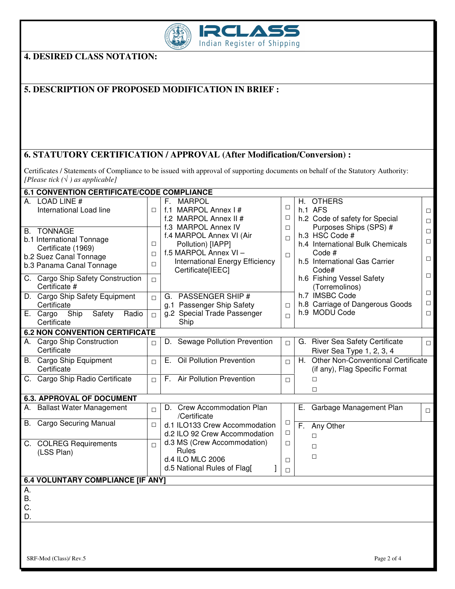

**4. DESIRED CLASS NOTATION:** 

# **5. DESCRIPTION OF PROPOSED MODIFICATION IN BRIEF :**

## **6. STATUTORY CERTIFICATION / APPROVAL (After Modification/Conversion) :**

Certificates / Statements of Compliance to be issued with approval of supporting documents on behalf of the Statutory Authority: *[Please tick (*√ *) as applicable]* 

| <b>6.1 CONVENTION CERTIFICATE/CODE COMPLIANCE</b>                                                                          |                            |                                                                                                                                |                            |     |                                                                                                        |                                      |  |  |
|----------------------------------------------------------------------------------------------------------------------------|----------------------------|--------------------------------------------------------------------------------------------------------------------------------|----------------------------|-----|--------------------------------------------------------------------------------------------------------|--------------------------------------|--|--|
| <b>LOAD LINE#</b><br>А.<br>International Load line                                                                         | $\Box$                     | <b>MARPOL</b><br>F.<br>f.1 MARPOL Annex I#<br>f.2 MARPOL Annex II #<br>f.3 MARPOL Annex IV                                     | $\Box$<br>$\Box$<br>$\Box$ | Н.  | <b>OTHERS</b><br>h.1 AFS<br>h.2 Code of safety for Special<br>Purposes Ships (SPS) #                   | $\Box$<br>$\Box$                     |  |  |
| <b>B. TONNAGE</b><br>b.1 International Tonnage<br>Certificate (1969)<br>b.2 Suez Canal Tonnage<br>b.3 Panama Canal Tonnage | $\Box$<br>$\Box$<br>$\Box$ | f.4 MARPOL Annex VI (Air<br>Pollution) [IAPP]<br>f.5 MARPOL Annex VI -<br>International Energy Efficiency<br>Certificate[IEEC] | $\Box$<br>$\Box$           |     | h.3 HSC Code #<br>h.4 International Bulk Chemicals<br>Code #<br>h.5 International Gas Carrier<br>Code# | $\Box$<br>$\Box$<br>$\Box$<br>$\Box$ |  |  |
| C. Cargo Ship Safety Construction<br>Certificate #<br>D. Cargo Ship Safety Equipment                                       | $\Box$<br>$\Box$           | <b>PASSENGER SHIP#</b><br>G.                                                                                                   |                            |     | h.6 Fishing Vessel Safety<br>(Torremolinos)<br>h.7 IMSBC Code                                          | $\Box$                               |  |  |
| Certificate<br>Ship<br>Safety<br>Radio<br>E. Cargo<br>Certificate                                                          | $\Box$                     | g.1 Passenger Ship Safety<br>g.2 Special Trade Passenger<br>Ship                                                               | $\Box$<br>$\Box$           |     | h.8 Carriage of Dangerous Goods<br>h.9 MODU Code                                                       | $\Box$<br>$\Box$                     |  |  |
| <b>6.2 NON CONVENTION CERTIFICATE</b>                                                                                      |                            |                                                                                                                                |                            |     |                                                                                                        |                                      |  |  |
| A. Cargo Ship Construction<br>Certificate                                                                                  | $\Box$                     | Sewage Pollution Prevention<br>D.                                                                                              | $\Box$                     | G.  | <b>River Sea Safety Certificate</b><br>River Sea Type 1, 2, 3, 4                                       | $\Box$                               |  |  |
| B. Cargo Ship Equipment<br>Certificate                                                                                     | $\Box$                     | Oil Pollution Prevention<br>E.                                                                                                 | $\Box$                     | H.  | Other Non-Conventional Certificate<br>(if any), Flag Specific Format                                   |                                      |  |  |
| C. Cargo Ship Radio Certificate                                                                                            | $\Box$                     | <b>Air Pollution Prevention</b><br>F.                                                                                          | $\Box$                     |     | $\Box$<br>$\Box$                                                                                       |                                      |  |  |
| <b>6.3. APPROVAL OF DOCUMENT</b>                                                                                           |                            |                                                                                                                                |                            |     |                                                                                                        |                                      |  |  |
| <b>Ballast Water Management</b><br>А.                                                                                      | $\Box$                     | D. Crew Accommodation Plan<br>/Certificate                                                                                     |                            | Е.  | Garbage Management Plan                                                                                | $\Box$                               |  |  |
| <b>Cargo Securing Manual</b><br>B.                                                                                         | $\Box$                     | d.1 ILO133 Crew Accommodation<br>d.2 ILO 92 Crew Accommodation                                                                 | $\Box$<br>$\Box$           | F., | Any Other<br>П                                                                                         |                                      |  |  |
| C. COLREG Requirements<br>(LSS Plan)                                                                                       | $\Box$                     | d.3 MS (Crew Accommodation)<br>Rules<br>d.4 ILO MLC 2006<br>d.5 National Rules of Flag[                                        | □<br>$\Box$<br>$\Box$      |     | $\Box$<br>$\Box$                                                                                       |                                      |  |  |
| <b>6.4 VOLUNTARY COMPLIANCE [IF ANY]</b>                                                                                   |                            |                                                                                                                                |                            |     |                                                                                                        |                                      |  |  |
| Α.<br><b>B.</b><br>C.<br>D.                                                                                                |                            |                                                                                                                                |                            |     |                                                                                                        |                                      |  |  |
|                                                                                                                            |                            |                                                                                                                                |                            |     |                                                                                                        |                                      |  |  |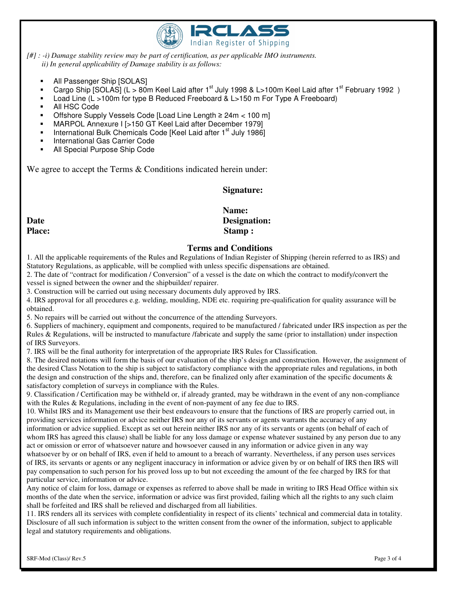

*[#] : -i) Damage stability review may be part of certification, as per applicable IMO instruments. ii) In general applicability of Damage stability is as follows:* 

- All Passenger Ship [SOLAS]
- Cargo Ship [SOLAS] (L > 80m Keel Laid after 1<sup>st</sup> July 1998 & L>100m Keel Laid after 1<sup>st</sup> February 1992)
- Load Line (L >100m for type B Reduced Freeboard & L>150 m For Type A Freeboard)
- All HSC Code
- Offshore Supply Vessels Code [Load Line Length ≥ 24m < 100 m]
- MARPOL Annexure I [>150 GT Keel Laid after December 1979]
- International Bulk Chemicals Code [Keel Laid after 1<sup>st</sup> July 1986]
- International Gas Carrier Code
- All Special Purpose Ship Code

We agree to accept the Terms & Conditions indicated herein under:

### **Signature:**

### **Name:**  Date Designation: Place: Stamp : **Stamp** :

#### **Terms and Conditions**

1. All the applicable requirements of the Rules and Regulations of Indian Register of Shipping (herein referred to as IRS) and Statutory Regulations, as applicable, will be complied with unless specific dispensations are obtained.

2. The date of "contract for modification / Conversion" of a vessel is the date on which the contract to modify/convert the vessel is signed between the owner and the shipbuilder/ repairer.

3. Construction will be carried out using necessary documents duly approved by IRS.

4. IRS approval for all procedures e.g. welding, moulding, NDE etc. requiring pre-qualification for quality assurance will be obtained.

5. No repairs will be carried out without the concurrence of the attending Surveyors.

6. Suppliers of machinery, equipment and components, required to be manufactured / fabricated under IRS inspection as per the Rules & Regulations, will be instructed to manufacture /fabricate and supply the same (prior to installation) under inspection of IRS Surveyors.

7. IRS will be the final authority for interpretation of the appropriate IRS Rules for Classification.

8. The desired notations will form the basis of our evaluation of the ship's design and construction. However, the assignment of the desired Class Notation to the ship is subject to satisfactory compliance with the appropriate rules and regulations, in both the design and construction of the ships and, therefore, can be finalized only after examination of the specific documents & satisfactory completion of surveys in compliance with the Rules.

9. Classification / Certification may be withheld or, if already granted, may be withdrawn in the event of any non-compliance with the Rules & Regulations, including in the event of non-payment of any fee due to IRS.

10. Whilst IRS and its Management use their best endeavours to ensure that the functions of IRS are properly carried out, in providing services information or advice neither IRS nor any of its servants or agents warrants the accuracy of any information or advice supplied. Except as set out herein neither IRS nor any of its servants or agents (on behalf of each of whom IRS has agreed this clause) shall be liable for any loss damage or expense whatever sustained by any person due to any act or omission or error of whatsoever nature and howsoever caused in any information or advice given in any way

whatsoever by or on behalf of IRS, even if held to amount to a breach of warranty. Nevertheless, if any person uses services of IRS, its servants or agents or any negligent inaccuracy in information or advice given by or on behalf of IRS then IRS will pay compensation to such person for his proved loss up to but not exceeding the amount of the fee charged by IRS for that particular service, information or advice.

Any notice of claim for loss, damage or expenses as referred to above shall be made in writing to IRS Head Office within six months of the date when the service, information or advice was first provided, failing which all the rights to any such claim shall be forfeited and IRS shall be relieved and discharged from all liabilities.

11. IRS renders all its services with complete confidentiality in respect of its clients' technical and commercial data in totality. Disclosure of all such information is subject to the written consent from the owner of the information, subject to applicable legal and statutory requirements and obligations.